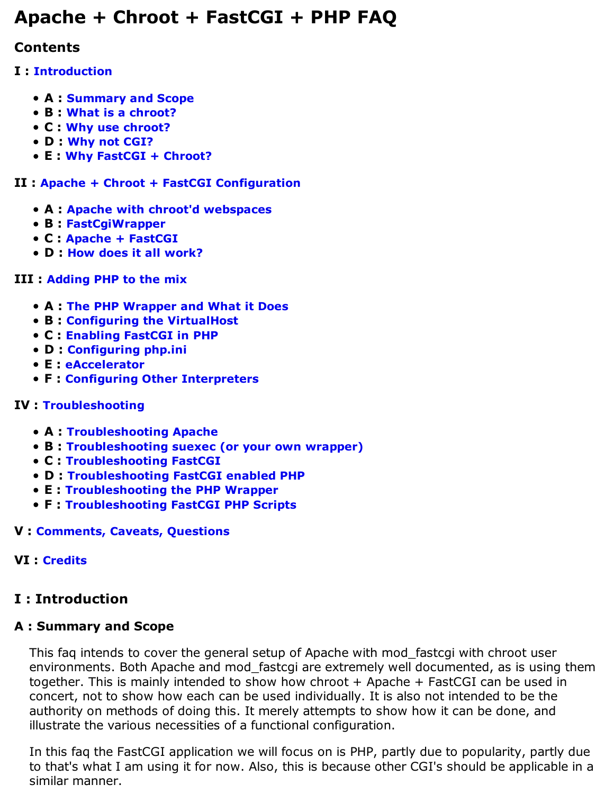# **Apache + Chroot + FastCGI + PHP FAQ**

# **Contents**

# **I : Introduction**

- **A : Summary and Scope**
- **B : What is a chroot?**
- **C : Why use chroot?**
- **D : Why not CGI?**
- **E : Why FastCGI + Chroot?**

### **II : Apache + Chroot + FastCGI Configuration**

- **A : Apache with chroot'd webspaces**
- **B : FastCgiWrapper**
- **C : Apache + FastCGI**
- **D : How does it all work?**

# **III : Adding PHP to the mix**

- **A : The PHP Wrapper and What it Does**
- **B : Configuring the VirtualHost**
- **C : Enabling FastCGI in PHP**
- **D : Configuring php.ini**
- **E : eAccelerator**
- **F : Configuring Other Interpreters**

# **IV : Troubleshooting**

- **A : Troubleshooting Apache**
- **B : Troubleshooting suexec (or your own wrapper)**
- **C : Troubleshooting FastCGI**
- **D : Troubleshooting FastCGI enabled PHP**
- **E : Troubleshooting the PHP Wrapper**
- **F : Troubleshooting FastCGI PHP Scripts**

# **V : Comments, Caveats, Questions**

# **VI : Credits**

# **I : Introduction**

# **A : Summary and Scope**

This faq intends to cover the general setup of Apache with mod\_fastcgi with chroot user environments. Both Apache and mod\_fastcgi are extremely well documented, as is using them together. This is mainly intended to show how chroot + Apache + FastCGI can be used in concert, not to show how each can be used individually. It is also not intended to be the authority on methods of doing this. It merely attempts to show how it can be done, and illustrate the various necessities of a functional configuration.

In this faq the FastCGI application we will focus on is PHP, partly due to popularity, partly due to that's what I am using it for now. Also, this is because other CGI's should be applicable in a similar manner.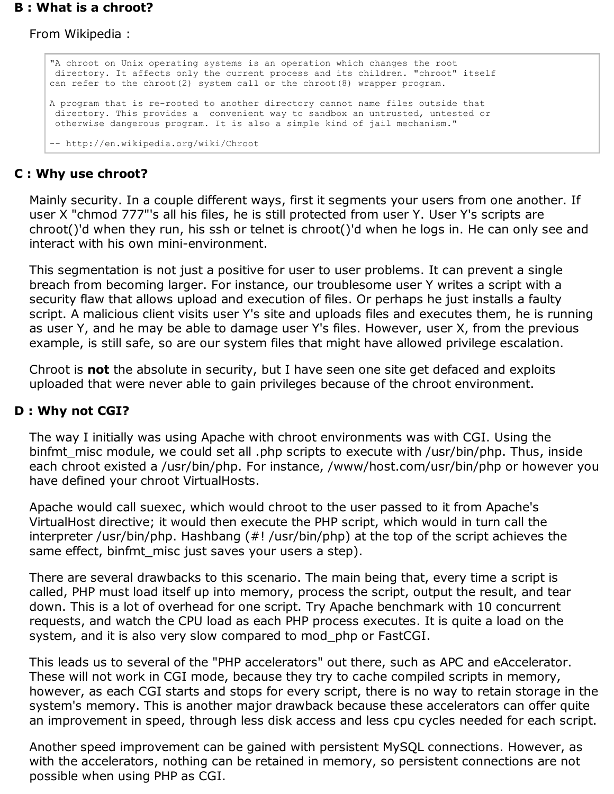#### **B : What is a chroot?**

From Wikipedia :

```
"A chroot on Unix operating systems is an operation which changes the root
 directory. It affects only the current process and its children. "chroot" itself 
can refer to the chroot(2) system call or the chroot(8) wrapper program.
A program that is re-rooted to another directory cannot name files outside that
 directory. This provides a convenient way to sandbox an untrusted, untested or
 otherwise dangerous program. It is also a simple kind of jail mechanism." 
-- http://en.wikipedia.org/wiki/Chroot
```
#### **C : Why use chroot?**

Mainly security. In a couple different ways, first it segments your users from one another. If user X "chmod 777"'s all his files, he is still protected from user Y. User Y's scripts are chroot()'d when they run, his ssh or telnet is chroot()'d when he logs in. He can only see and interact with his own mini-environment.

This segmentation is not just a positive for user to user problems. It can prevent a single breach from becoming larger. For instance, our troublesome user Y writes a script with a security flaw that allows upload and execution of files. Or perhaps he just installs a faulty script. A malicious client visits user Y's site and uploads files and executes them, he is running as user Y, and he may be able to damage user Y's files. However, user X, from the previous example, is still safe, so are our system files that might have allowed privilege escalation.

Chroot is **not** the absolute in security, but I have seen one site get defaced and exploits uploaded that were never able to gain privileges because of the chroot environment.

#### **D : Why not CGI?**

The way I initially was using Apache with chroot environments was with CGI. Using the binfmt misc module, we could set all .php scripts to execute with /usr/bin/php. Thus, inside each chroot existed a /usr/bin/php. For instance, /www/host.com/usr/bin/php or however you have defined your chroot VirtualHosts.

Apache would call suexec, which would chroot to the user passed to it from Apache's VirtualHost directive; it would then execute the PHP script, which would in turn call the interpreter /usr/bin/php. Hashbang (#! /usr/bin/php) at the top of the script achieves the same effect, binfmt\_misc just saves your users a step).

There are several drawbacks to this scenario. The main being that, every time a script is called, PHP must load itself up into memory, process the script, output the result, and tear down. This is a lot of overhead for one script. Try Apache benchmark with 10 concurrent requests, and watch the CPU load as each PHP process executes. It is quite a load on the system, and it is also very slow compared to mod\_php or FastCGI.

This leads us to several of the "PHP accelerators" out there, such as APC and eAccelerator. These will not work in CGI mode, because they try to cache compiled scripts in memory, however, as each CGI starts and stops for every script, there is no way to retain storage in the system's memory. This is another major drawback because these accelerators can offer quite an improvement in speed, through less disk access and less cpu cycles needed for each script.

Another speed improvement can be gained with persistent MySQL connections. However, as with the accelerators, nothing can be retained in memory, so persistent connections are not possible when using PHP as CGI.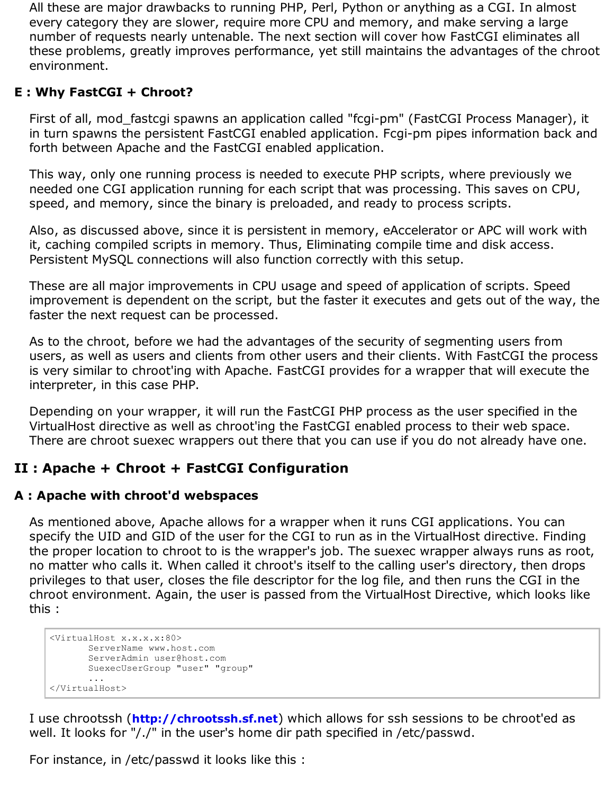All these are major drawbacks to running PHP, Perl, Python or anything as a CGI. In almost every category they are slower, require more CPU and memory, and make serving a large number of requests nearly untenable. The next section will cover how FastCGI eliminates all these problems, greatly improves performance, yet still maintains the advantages of the chroot environment.

### **E : Why FastCGI + Chroot?**

First of all, mod\_fastcgi spawns an application called "fcgi-pm" (FastCGI Process Manager), it in turn spawns the persistent FastCGI enabled application. Fcgi-pm pipes information back and forth between Apache and the FastCGI enabled application.

This way, only one running process is needed to execute PHP scripts, where previously we needed one CGI application running for each script that was processing. This saves on CPU, speed, and memory, since the binary is preloaded, and ready to process scripts.

Also, as discussed above, since it is persistent in memory, eAccelerator or APC will work with it, caching compiled scripts in memory. Thus, Eliminating compile time and disk access. Persistent MySQL connections will also function correctly with this setup.

These are all major improvements in CPU usage and speed of application of scripts. Speed improvement is dependent on the script, but the faster it executes and gets out of the way, the faster the next request can be processed.

As to the chroot, before we had the advantages of the security of segmenting users from users, as well as users and clients from other users and their clients. With FastCGI the process is very similar to chroot'ing with Apache. FastCGI provides for a wrapper that will execute the interpreter, in this case PHP.

Depending on your wrapper, it will run the FastCGI PHP process as the user specified in the VirtualHost directive as well as chroot'ing the FastCGI enabled process to their web space. There are chroot suexec wrappers out there that you can use if you do not already have one.

# **II : Apache + Chroot + FastCGI Configuration**

# **A : Apache with chroot'd webspaces**

As mentioned above, Apache allows for a wrapper when it runs CGI applications. You can specify the UID and GID of the user for the CGI to run as in the VirtualHost directive. Finding the proper location to chroot to is the wrapper's job. The suexec wrapper always runs as root, no matter who calls it. When called it chroot's itself to the calling user's directory, then drops privileges to that user, closes the file descriptor for the log file, and then runs the CGI in the chroot environment. Again, the user is passed from the VirtualHost Directive, which looks like this :

```
<VirtualHost x.x.x.x:80>
        ServerName www.host.com
        ServerAdmin user@host.com
       SuexecUserGroup "user" "group"
        ...
</VirtualHost>
```
I use chrootssh (**http://chrootssh.sf.net**) which allows for ssh sessions to be chroot'ed as well. It looks for "/./" in the user's home dir path specified in /etc/passwd.

For instance, in /etc/passwd it looks like this :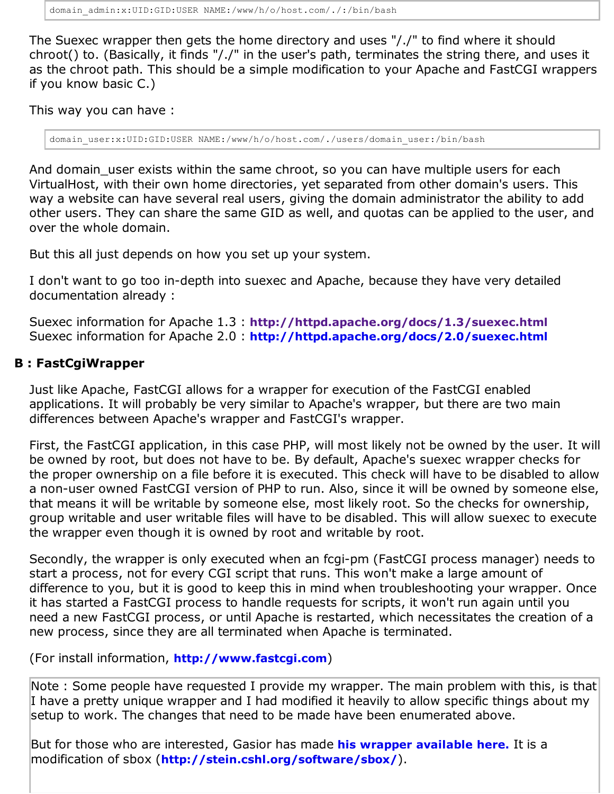The Suexec wrapper then gets the home directory and uses "/./" to find where it should chroot() to. (Basically, it finds "/./" in the user's path, terminates the string there, and uses it as the chroot path. This should be a simple modification to your Apache and FastCGI wrappers if you know basic C.)

This way you can have :

domain\_user:x:UID:GID:USER\_NAME:/www/h/o/host.com/./users/domain\_user:/bin/bash

And domain user exists within the same chroot, so you can have multiple users for each VirtualHost, with their own home directories, yet separated from other domain's users. This way a website can have several real users, giving the domain administrator the ability to add other users. They can share the same GID as well, and quotas can be applied to the user, and over the whole domain.

But this all just depends on how you set up your system.

I don't want to go too in-depth into suexec and Apache, because they have very detailed documentation already :

Suexec information for Apache 1.3 : **http://httpd.apache.org/docs/1.3/suexec.html** Suexec information for Apache 2.0 : **http://httpd.apache.org/docs/2.0/suexec.html**

#### **B : FastCgiWrapper**

Just like Apache, FastCGI allows for a wrapper for execution of the FastCGI enabled applications. It will probably be very similar to Apache's wrapper, but there are two main differences between Apache's wrapper and FastCGI's wrapper.

First, the FastCGI application, in this case PHP, will most likely not be owned by the user. It will be owned by root, but does not have to be. By default, Apache's suexec wrapper checks for the proper ownership on a file before it is executed. This check will have to be disabled to allow a non-user owned FastCGI version of PHP to run. Also, since it will be owned by someone else, that means it will be writable by someone else, most likely root. So the checks for ownership, group writable and user writable files will have to be disabled. This will allow suexec to execute the wrapper even though it is owned by root and writable by root.

Secondly, the wrapper is only executed when an fcgi-pm (FastCGI process manager) needs to start a process, not for every CGI script that runs. This won't make a large amount of difference to you, but it is good to keep this in mind when troubleshooting your wrapper. Once it has started a FastCGI process to handle requests for scripts, it won't run again until you need a new FastCGI process, or until Apache is restarted, which necessitates the creation of a new process, since they are all terminated when Apache is terminated.

(For install information, **http://www.fastcgi.com**)

Note : Some people have requested I provide my wrapper. The main problem with this, is that I have a pretty unique wrapper and I had modified it heavily to allow specific things about my setup to work. The changes that need to be made have been enumerated above.

But for those who are interested, Gasior has made **his wrapper available here.** It is a modification of sbox (**http://stein.cshl.org/software/sbox/**).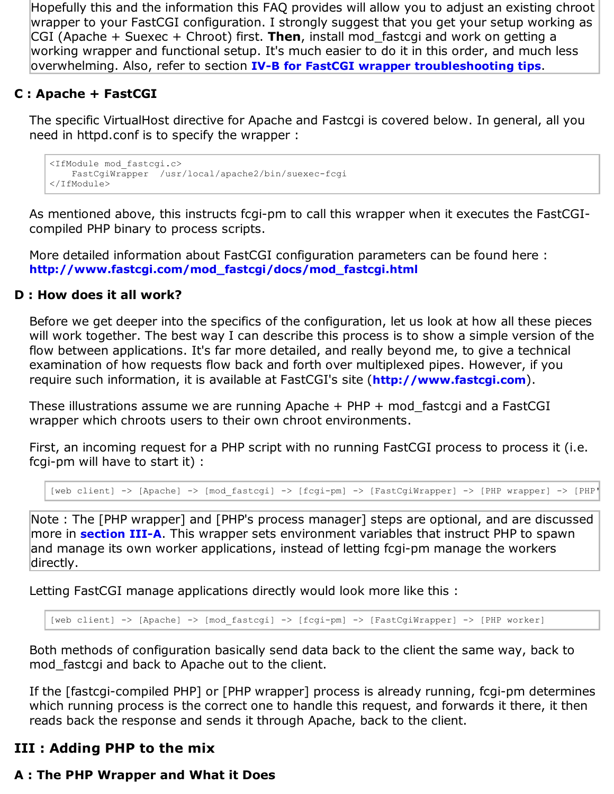Hopefully this and the information this FAQ provides will allow you to adjust an existing chroot wrapper to your FastCGI configuration. I strongly suggest that you get your setup working as CGI (Apache + Suexec + Chroot) first. **Then**, install mod\_fastcgi and work on getting a working wrapper and functional setup. It's much easier to do it in this order, and much less overwhelming. Also, refer to section **IV-B for FastCGI wrapper troubleshooting tips**.

#### **C : Apache + FastCGI**

The specific VirtualHost directive for Apache and Fastcgi is covered below. In general, all you need in httpd.conf is to specify the wrapper :

```
<IfModule mod_fastcgi.c>
    FastCgiWrapper /usr/local/apache2/bin/suexec-fcgi
</IfModule>
```
As mentioned above, this instructs fcgi-pm to call this wrapper when it executes the FastCGIcompiled PHP binary to process scripts.

More detailed information about FastCGI configuration parameters can be found here : **http://www.fastcgi.com/mod\_fastcgi/docs/mod\_fastcgi.html**

#### **D : How does it all work?**

Before we get deeper into the specifics of the configuration, let us look at how all these pieces will work together. The best way I can describe this process is to show a simple version of the flow between applications. It's far more detailed, and really beyond me, to give a technical examination of how requests flow back and forth over multiplexed pipes. However, if you require such information, it is available at FastCGI's site (**http://www.fastcgi.com**).

These illustrations assume we are running Apache + PHP + mod\_fastcgi and a FastCGI wrapper which chroots users to their own chroot environments.

First, an incoming request for a PHP script with no running FastCGI process to process it (i.e. fcgi-pm will have to start it) :

[web client] -> [Apache] -> [mod fastcgi] -> [fcgi-pm] -> [FastCgiWrapper] -> [PHP wrapper] -> [PHP'

Note : The [PHP wrapper] and [PHP's process manager] steps are optional, and are discussed more in **section III-A**. This wrapper sets environment variables that instruct PHP to spawn and manage its own worker applications, instead of letting fcgi-pm manage the workers directly.

Letting FastCGI manage applications directly would look more like this :

[web client] -> [Apache] -> [mod\_fastcgi] -> [fcgi-pm] -> [FastCgiWrapper] -> [PHP worker]

Both methods of configuration basically send data back to the client the same way, back to mod\_fastcgi and back to Apache out to the client.

If the [fastcgi-compiled PHP] or [PHP wrapper] process is already running, fcgi-pm determines which running process is the correct one to handle this request, and forwards it there, it then reads back the response and sends it through Apache, back to the client.

# **III : Adding PHP to the mix**

# **A : The PHP Wrapper and What it Does**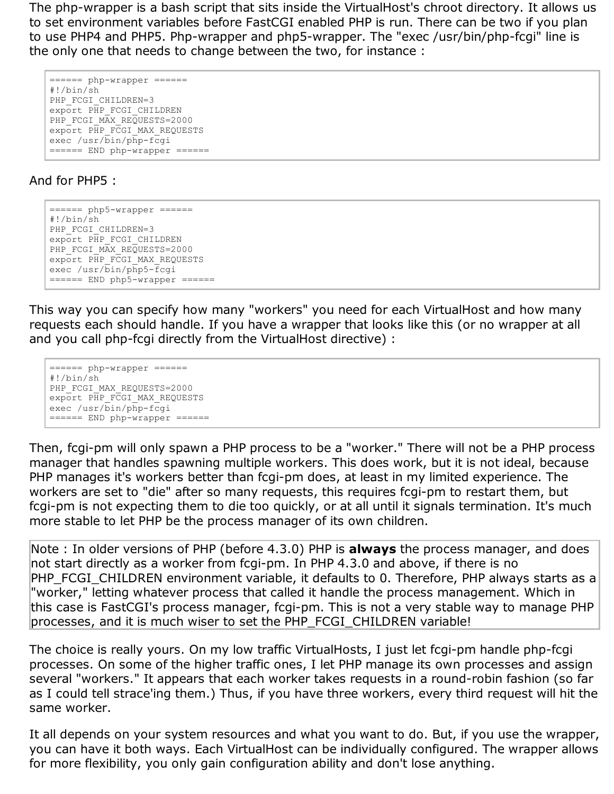The php-wrapper is a bash script that sits inside the VirtualHost's chroot directory. It allows us to set environment variables before FastCGI enabled PHP is run. There can be two if you plan to use PHP4 and PHP5. Php-wrapper and php5-wrapper. The "exec /usr/bin/php-fcgi" line is the only one that needs to change between the two, for instance :

```
===== php-wrapper ====#!/bin/sh
PHP_FCGI_CHILDREN=3
export PHP FCGI CHILDREN
PHP_FCGI_MAX_REQUESTS=2000
export PHP_FCGI_MAX_REQUESTS
exec /usr/bin/php-fcgi
======= END php-wrapper ======
```
#### And for PHP5 :

====== php5-wrapper ====== #!/bin/sh PHP\_FCGI\_CHILDREN=3 export PHP FCGI CHILDREN PHP\_FCGI\_MAX\_REQUESTS=2000 export PHP\_FCGI\_MAX\_REQUESTS exec /usr/bin/php5-fcgi ======= END php5-wrapper ======

This way you can specify how many "workers" you need for each VirtualHost and how many requests each should handle. If you have a wrapper that looks like this (or no wrapper at all and you call php-fcgi directly from the VirtualHost directive) :

```
======= php-wrapper ======
#!/bin/sh
PHP_FCGI_MAX_REQUESTS=2000
export PHP_FCGI_MAX_REQUESTS
exec /usr/bin/php-fcgi
======= END php-wrapper ======
```
Then, fcgi-pm will only spawn a PHP process to be a "worker." There will not be a PHP process manager that handles spawning multiple workers. This does work, but it is not ideal, because PHP manages it's workers better than fcgi-pm does, at least in my limited experience. The workers are set to "die" after so many requests, this requires fcgi-pm to restart them, but fcgi-pm is not expecting them to die too quickly, or at all until it signals termination. It's much more stable to let PHP be the process manager of its own children.

Note : In older versions of PHP (before 4.3.0) PHP is **always** the process manager, and does not start directly as a worker from fcgi-pm. In PHP 4.3.0 and above, if there is no PHP\_FCGI\_CHILDREN environment variable, it defaults to 0. Therefore, PHP always starts as a "worker," letting whatever process that called it handle the process management. Which in this case is FastCGI's process manager, fcgi-pm. This is not a very stable way to manage PHP processes, and it is much wiser to set the PHP\_FCGI\_CHILDREN variable!

The choice is really yours. On my low traffic VirtualHosts, I just let fcgi-pm handle php-fcgi processes. On some of the higher traffic ones, I let PHP manage its own processes and assign several "workers." It appears that each worker takes requests in a round-robin fashion (so far as I could tell strace'ing them.) Thus, if you have three workers, every third request will hit the same worker.

It all depends on your system resources and what you want to do. But, if you use the wrapper, you can have it both ways. Each VirtualHost can be individually configured. The wrapper allows for more flexibility, you only gain configuration ability and don't lose anything.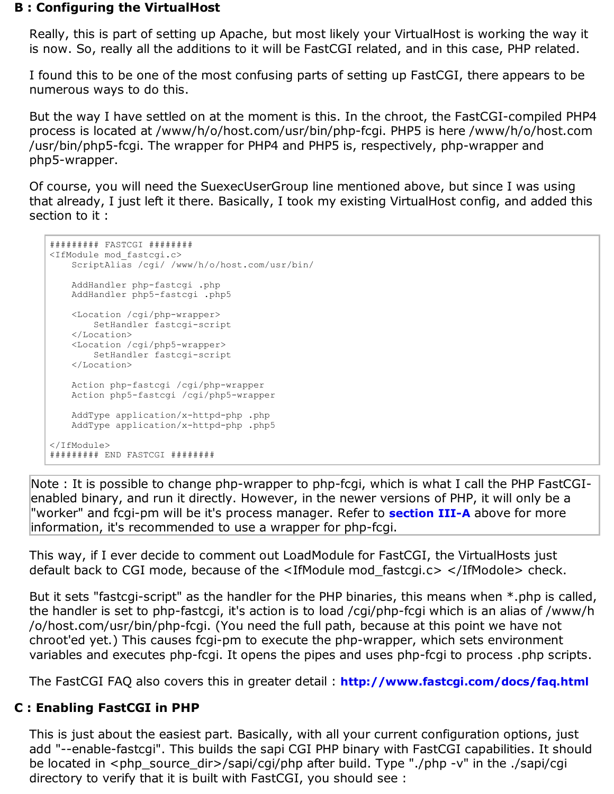#### **B : Configuring the VirtualHost**

Really, this is part of setting up Apache, but most likely your VirtualHost is working the way it is now. So, really all the additions to it will be FastCGI related, and in this case, PHP related.

I found this to be one of the most confusing parts of setting up FastCGI, there appears to be numerous ways to do this.

But the way I have settled on at the moment is this. In the chroot, the FastCGI-compiled PHP4 process is located at /www/h/o/host.com/usr/bin/php-fcgi. PHP5 is here /www/h/o/host.com /usr/bin/php5-fcgi. The wrapper for PHP4 and PHP5 is, respectively, php-wrapper and php5-wrapper.

Of course, you will need the SuexecUserGroup line mentioned above, but since I was using that already, I just left it there. Basically, I took my existing VirtualHost config, and added this section to it :

```
######### FASTCGI ########
<IfModule mod_fastcgi.c>
    ScriptAlias /cgi/ /www/h/o/host.com/usr/bin/
    AddHandler php-fastcgi .php
    AddHandler php5-fastcgi .php5
    <Location /cgi/php-wrapper>
        SetHandler fastcgi-script
    </Location>
    <Location /cgi/php5-wrapper>
         SetHandler fastcgi-script
    </Location>
    Action php-fastcgi /cgi/php-wrapper
    Action php5-fastcgi /cgi/php5-wrapper
    AddType application/x-httpd-php .php
    AddType application/x-httpd-php .php5
</IfModule>
######### END FASTCGI ########
```
Note : It is possible to change php-wrapper to php-fcgi, which is what I call the PHP FastCGIenabled binary, and run it directly. However, in the newer versions of PHP, it will only be a "worker" and fcgi-pm will be it's process manager. Refer to **section III-A** above for more information, it's recommended to use a wrapper for php-fcgi.

This way, if I ever decide to comment out LoadModule for FastCGI, the VirtualHosts just default back to CGI mode, because of the <IfModule mod\_fastcgi.c> </IfModole> check.

But it sets "fastcgi-script" as the handler for the PHP binaries, this means when \*.php is called, the handler is set to php-fastcgi, it's action is to load /cgi/php-fcgi which is an alias of /www/h /o/host.com/usr/bin/php-fcgi. (You need the full path, because at this point we have not chroot'ed yet.) This causes fcgi-pm to execute the php-wrapper, which sets environment variables and executes php-fcgi. It opens the pipes and uses php-fcgi to process .php scripts.

The FastCGI FAQ also covers this in greater detail : **http://www.fastcgi.com/docs/faq.html**

#### **C : Enabling FastCGI in PHP**

This is just about the easiest part. Basically, with all your current configuration options, just add "--enable-fastcgi". This builds the sapi CGI PHP binary with FastCGI capabilities. It should be located in <php\_source\_dir>/sapi/cgi/php after build. Type "./php -v" in the ./sapi/cgi directory to verify that it is built with FastCGI, you should see :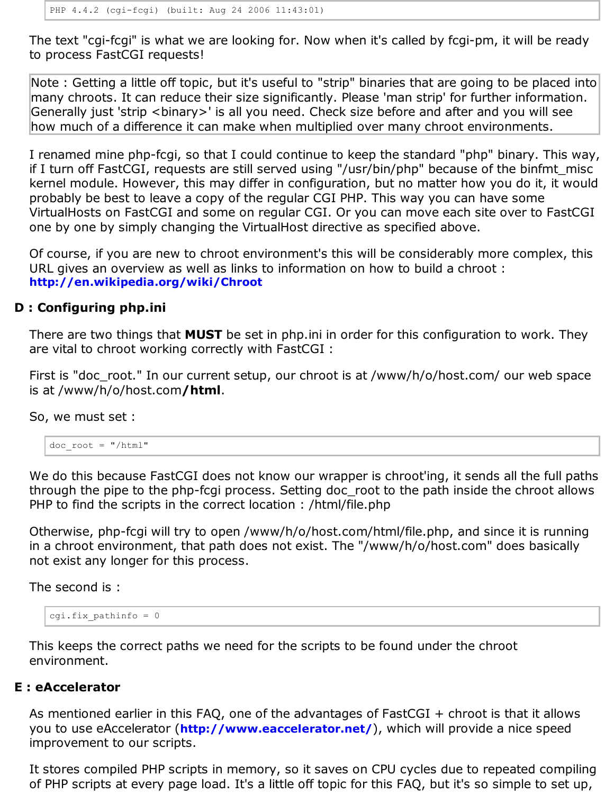The text "cgi-fcgi" is what we are looking for. Now when it's called by fcgi-pm, it will be ready to process FastCGI requests!

Note : Getting a little off topic, but it's useful to "strip" binaries that are going to be placed into many chroots. It can reduce their size significantly. Please 'man strip' for further information. Generally just 'strip <binary>' is all you need. Check size before and after and you will see how much of a difference it can make when multiplied over many chroot environments.

I renamed mine php-fcgi, so that I could continue to keep the standard "php" binary. This way, if I turn off FastCGI, requests are still served using "/usr/bin/php" because of the binfmt\_misc kernel module. However, this may differ in configuration, but no matter how you do it, it would probably be best to leave a copy of the regular CGI PHP. This way you can have some VirtualHosts on FastCGI and some on regular CGI. Or you can move each site over to FastCGI one by one by simply changing the VirtualHost directive as specified above.

Of course, if you are new to chroot environment's this will be considerably more complex, this URL gives an overview as well as links to information on how to build a chroot : **http://en.wikipedia.org/wiki/Chroot**

#### **D : Configuring php.ini**

There are two things that **MUST** be set in php.ini in order for this configuration to work. They are vital to chroot working correctly with FastCGI :

First is "doc\_root." In our current setup, our chroot is at /www/h/o/host.com/ our web space is at /www/h/o/host.com**/html**.

So, we must set :

doc\_root = "/html"

We do this because FastCGI does not know our wrapper is chroot'ing, it sends all the full paths through the pipe to the php-fcgi process. Setting doc\_root to the path inside the chroot allows PHP to find the scripts in the correct location : /html/file.php

Otherwise, php-fcgi will try to open /www/h/o/host.com/html/file.php, and since it is running in a chroot environment, that path does not exist. The "/www/h/o/host.com" does basically not exist any longer for this process.

The second is :

```
cgi.fix pathinfo = 0
```
This keeps the correct paths we need for the scripts to be found under the chroot environment.

#### **E : eAccelerator**

As mentioned earlier in this FAQ, one of the advantages of FastCGI + chroot is that it allows you to use eAccelerator (**http://www.eaccelerator.net/**), which will provide a nice speed improvement to our scripts.

It stores compiled PHP scripts in memory, so it saves on CPU cycles due to repeated compiling of PHP scripts at every page load. It's a little off topic for this FAQ, but it's so simple to set up,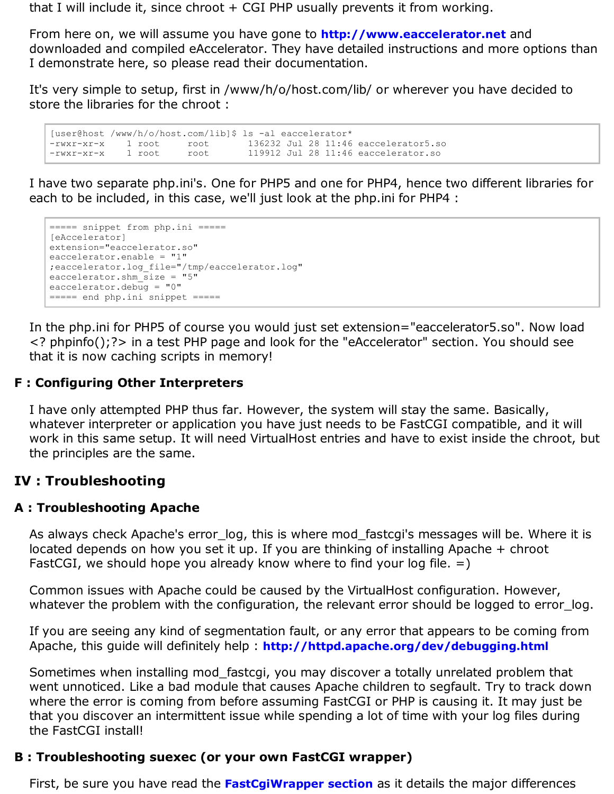that I will include it, since chroot  $+$  CGI PHP usually prevents it from working.

From here on, we will assume you have gone to **http://www.eaccelerator.net** and downloaded and compiled eAccelerator. They have detailed instructions and more options than I demonstrate here, so please read their documentation.

It's very simple to setup, first in /www/h/o/host.com/lib/ or wherever you have decided to store the libraries for the chroot :

[user@host /www/h/o/host.com/lib]\$ ls -al eaccelerator\* -rwxr-xr-x 1 root root 136232 Jul 28 11:46 eaccelerator5.so -rwxr-xr-x 1 root root 119912 Jul 28 11:46 eaccelerator.so

I have two separate php.ini's. One for PHP5 and one for PHP4, hence two different libraries for each to be included, in this case, we'll just look at the php.ini for PHP4 :

```
===== snippet from php.ini =====
[eAccelerator]
extension="eaccelerator.so"
eaccelerator.enable = "1"
;eaccelerator.log_file="/tmp/eaccelerator.log"
eaccelerator.shm size = "5"eaccelerator.debug = "0"===== end php.ini snippet =====
```
In the php.ini for PHP5 of course you would just set extension="eaccelerator5.so". Now load <? phpinfo();?> in a test PHP page and look for the "eAccelerator" section. You should see that it is now caching scripts in memory!

### **F : Configuring Other Interpreters**

I have only attempted PHP thus far. However, the system will stay the same. Basically, whatever interpreter or application you have just needs to be FastCGI compatible, and it will work in this same setup. It will need VirtualHost entries and have to exist inside the chroot, but the principles are the same.

# **IV : Troubleshooting**

#### **A : Troubleshooting Apache**

As always check Apache's error log, this is where mod fastcgi's messages will be. Where it is located depends on how you set it up. If you are thinking of installing Apache + chroot FastCGI, we should hope you already know where to find your log file.  $=$ )

Common issues with Apache could be caused by the VirtualHost configuration. However, whatever the problem with the configuration, the relevant error should be logged to error\_log.

If you are seeing any kind of segmentation fault, or any error that appears to be coming from Apache, this guide will definitely help : **http://httpd.apache.org/dev/debugging.html**

Sometimes when installing mod\_fastcgi, you may discover a totally unrelated problem that went unnoticed. Like a bad module that causes Apache children to segfault. Try to track down where the error is coming from before assuming FastCGI or PHP is causing it. It may just be that you discover an intermittent issue while spending a lot of time with your log files during the FastCGI install!

#### **B : Troubleshooting suexec (or your own FastCGI wrapper)**

First, be sure you have read the **FastCgiWrapper section** as it details the major differences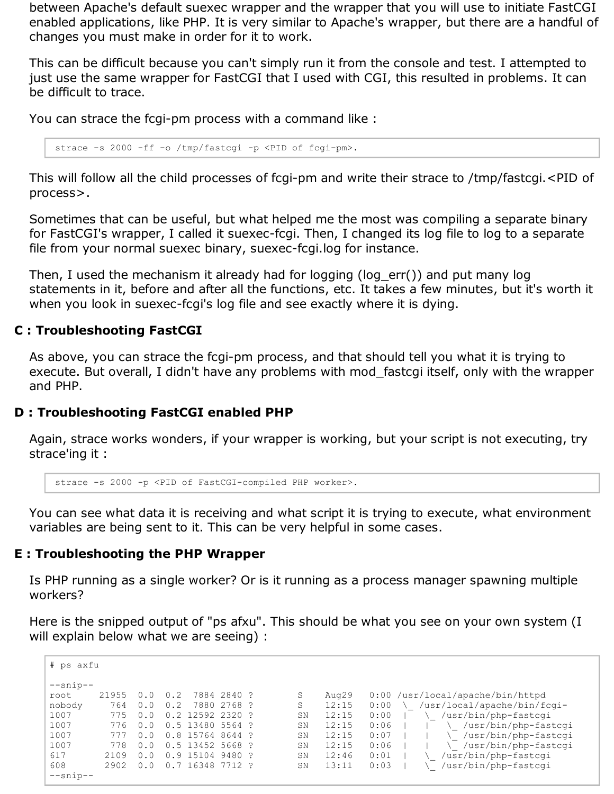between Apache's default suexec wrapper and the wrapper that you will use to initiate FastCGI enabled applications, like PHP. It is very similar to Apache's wrapper, but there are a handful of changes you must make in order for it to work.

This can be difficult because you can't simply run it from the console and test. I attempted to just use the same wrapper for FastCGI that I used with CGI, this resulted in problems. It can be difficult to trace.

You can strace the fcgi-pm process with a command like :

strace -s 2000 -ff -o /tmp/fastcgi -p <PID of fcgi-pm>.

This will follow all the child processes of fcgi-pm and write their strace to /tmp/fastcgi.<PID of process>.

Sometimes that can be useful, but what helped me the most was compiling a separate binary for FastCGI's wrapper, I called it suexec-fcgi. Then, I changed its log file to log to a separate file from your normal suexec binary, suexec-fcgi.log for instance.

Then, I used the mechanism it already had for logging (log\_err()) and put many log statements in it, before and after all the functions, etc. It takes a few minutes, but it's worth it when you look in suexec-fcgi's log file and see exactly where it is dying.

#### **C : Troubleshooting FastCGI**

As above, you can strace the fcgi-pm process, and that should tell you what it is trying to execute. But overall, I didn't have any problems with mod\_fastcgi itself, only with the wrapper and PHP.

#### **D : Troubleshooting FastCGI enabled PHP**

Again, strace works wonders, if your wrapper is working, but your script is not executing, try strace'ing it :

strace -s 2000 -p <PID of FastCGI-compiled PHP worker>.

You can see what data it is receiving and what script it is trying to execute, what environment variables are being sent to it. This can be very helpful in some cases.

#### **E : Troubleshooting the PHP Wrapper**

Is PHP running as a single worker? Or is it running as a process manager spawning multiple workers?

Here is the snipped output of "ps afxu". This should be what you see on your own system (I will explain below what we are seeing) :

| # ps axfu  |       |  |                |                  |             |  |    |       |      |                                    |
|------------|-------|--|----------------|------------------|-------------|--|----|-------|------|------------------------------------|
| $--snip--$ |       |  |                |                  |             |  |    |       |      |                                    |
| root       | 21955 |  |                |                  | 7884 2840 ? |  | S  | Aug29 |      | $0:00$ /usr/local/apache/bin/httpd |
| nobody     | 764   |  |                | 7880             | 2768?       |  | S  | 12:15 | 0:00 | /usr/local/apache/bin/fcqi-        |
| 1007       | 775   |  | $\overline{2}$ | 12592            | 2320        |  | SN | 12:15 | 0:00 | /usr/bin/php-fastcqi               |
| 1007       | 776   |  |                | 0.5 13480 5564 ? |             |  | SN | 12:15 | 0:06 | /usr/bin/php-fastcgi               |
| 1007       |       |  | .8             | 15764 8644 ?     |             |  | SN | 12:15 | 0:07 | /usr/bin/php-fastcgi               |
| 1007       | 778   |  |                | 0.5 13452        | 5668 ?      |  | SN | 12:15 | 0:06 | /usr/bin/php-fastcgi               |
| 617        | 2109  |  | - 9            | 15104            | 9480?       |  | SN | 12:46 | 0:01 | /usr/bin/php-fastcgi               |
| 608        | 2902  |  |                | 16348            | 7712?       |  | SN | 13:11 | 0:03 | /usr/bin/php-fastcgi               |
| $--snip--$ |       |  |                |                  |             |  |    |       |      |                                    |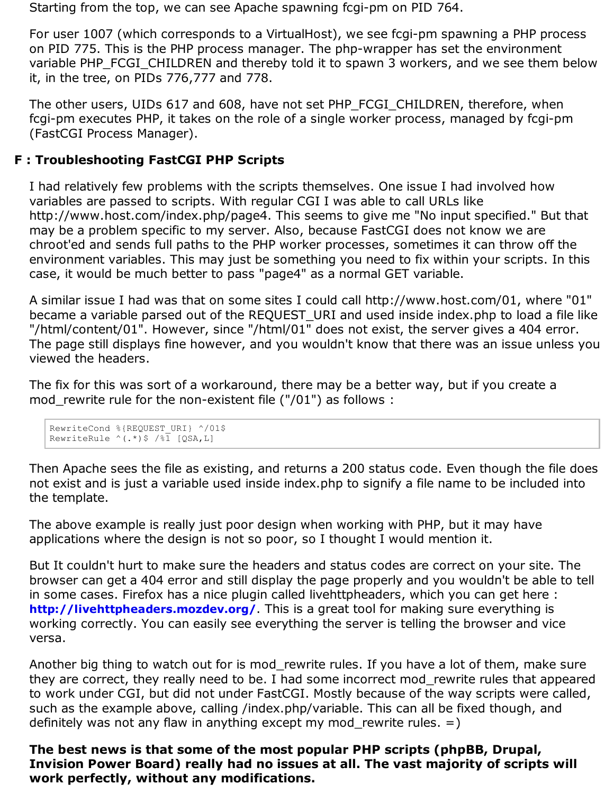Starting from the top, we can see Apache spawning fcgi-pm on PID 764.

For user 1007 (which corresponds to a VirtualHost), we see fcgi-pm spawning a PHP process on PID 775. This is the PHP process manager. The php-wrapper has set the environment variable PHP\_FCGI\_CHILDREN and thereby told it to spawn 3 workers, and we see them below it, in the tree, on PIDs 776,777 and 778.

The other users, UIDs 617 and 608, have not set PHP\_FCGI\_CHILDREN, therefore, when fcgi-pm executes PHP, it takes on the role of a single worker process, managed by fcgi-pm (FastCGI Process Manager).

#### **F : Troubleshooting FastCGI PHP Scripts**

I had relatively few problems with the scripts themselves. One issue I had involved how variables are passed to scripts. With regular CGI I was able to call URLs like http://www.host.com/index.php/page4. This seems to give me "No input specified." But that may be a problem specific to my server. Also, because FastCGI does not know we are chroot'ed and sends full paths to the PHP worker processes, sometimes it can throw off the environment variables. This may just be something you need to fix within your scripts. In this case, it would be much better to pass "page4" as a normal GET variable.

A similar issue I had was that on some sites I could call http://www.host.com/01, where "01" became a variable parsed out of the REQUEST URI and used inside index.php to load a file like "/html/content/01". However, since "/html/01" does not exist, the server gives a 404 error. The page still displays fine however, and you wouldn't know that there was an issue unless you viewed the headers.

The fix for this was sort of a workaround, there may be a better way, but if you create a mod\_rewrite rule for the non-existent file ("/01") as follows :

```
RewriteCond %{REQUEST_URI} ^/01$
RewriteRule ^{\wedge} (.*) $ /%1 [QSA, L]
```
Then Apache sees the file as existing, and returns a 200 status code. Even though the file does not exist and is just a variable used inside index.php to signify a file name to be included into the template.

The above example is really just poor design when working with PHP, but it may have applications where the design is not so poor, so I thought I would mention it.

But It couldn't hurt to make sure the headers and status codes are correct on your site. The browser can get a 404 error and still display the page properly and you wouldn't be able to tell in some cases. Firefox has a nice plugin called livehttpheaders, which you can get here : **http://livehttpheaders.mozdev.org/**. This is a great tool for making sure everything is working correctly. You can easily see everything the server is telling the browser and vice versa.

Another big thing to watch out for is mod rewrite rules. If you have a lot of them, make sure they are correct, they really need to be. I had some incorrect mod\_rewrite rules that appeared to work under CGI, but did not under FastCGI. Mostly because of the way scripts were called, such as the example above, calling /index.php/variable. This can all be fixed though, and definitely was not any flaw in anything except my mod rewrite rules.  $=$ )

**The best news is that some of the most popular PHP scripts (phpBB, Drupal, Invision Power Board) really had no issues at all. The vast majority of scripts will work perfectly, without any modifications.**